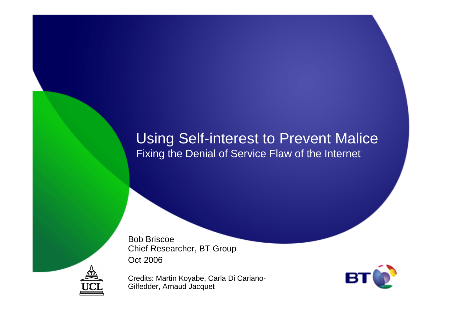## Using Self-interest to Prevent MaliceFixing the Denial of Service Flaw of the Internet

Bob Briscoe Chief Researcher, BT GroupOct 2006

Credits: Martin Koyabe, Carla Di Cariano-Gilfedder, Arnaud Jacquet



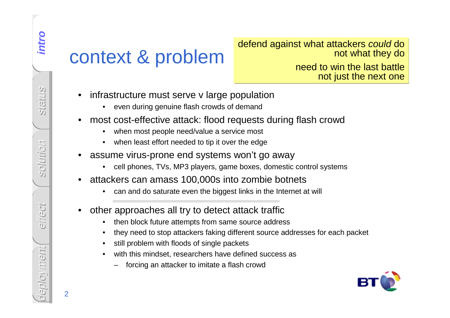defend against what attackers could do not what they do

> need to win the last battlenot just the next one

- -
- -
	-
- -
- -
- - then block future attempts from same source address
	- •they need to stop attackers faking different source addresses for each packet
	- •still problem with floods of single packets
	- • with this mindset, researchers have defined success as
		- forcing an attacker to imitate a flash crowd



intro **intro**

2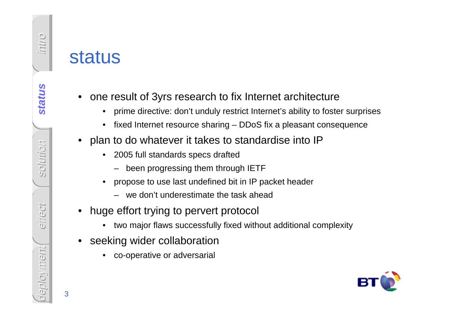- -
	-
- plan to do whatever it takes to standardise into IP
	- • 2005 full standards specs drafted
		- been progressing them through IETF
	- • propose to use last undefined bit in IP packet header
		- we don't underestimate the task ahead
- • huge effort trying to pervert protocol
	- •two major flaws successfully fixed without additional complexity
- • seeking wider collaboration
	- •co-operative or adversarial

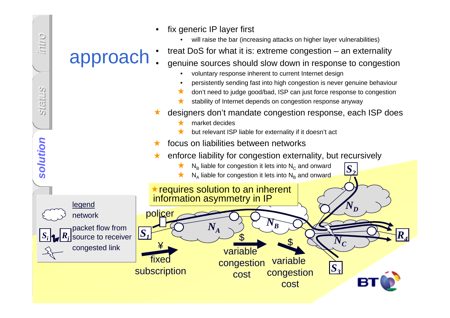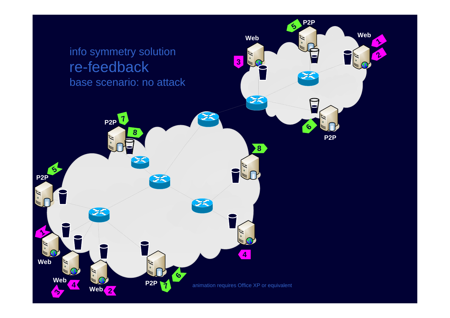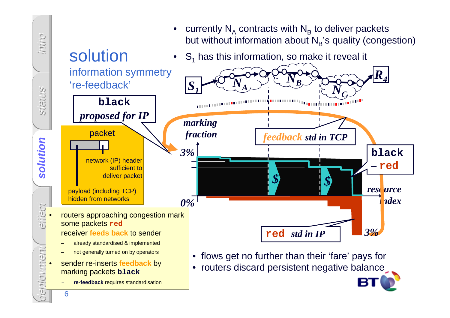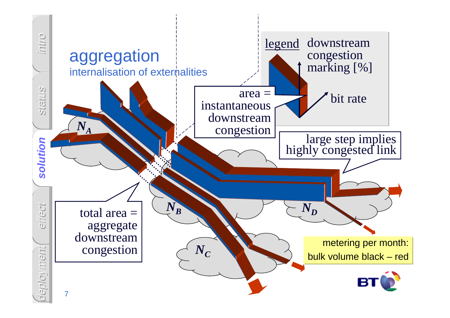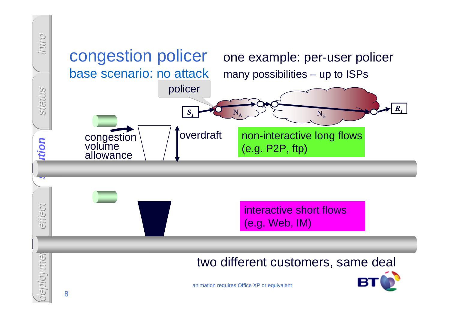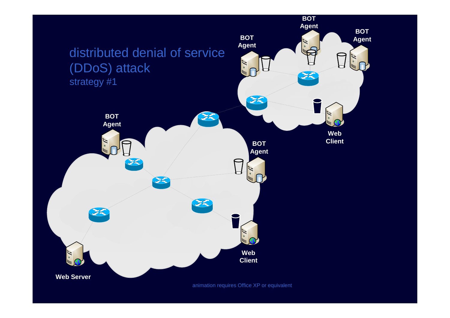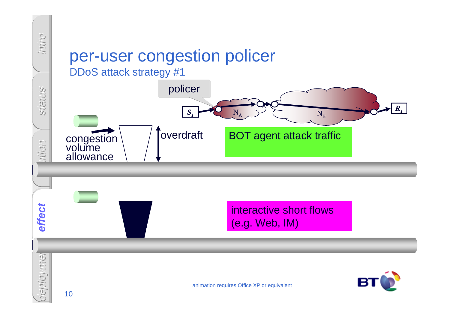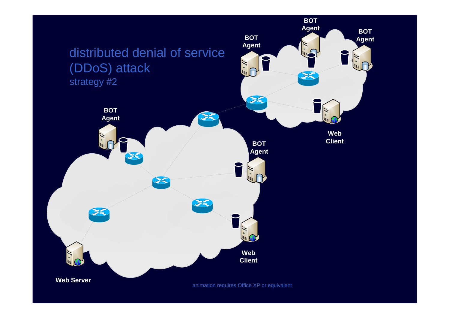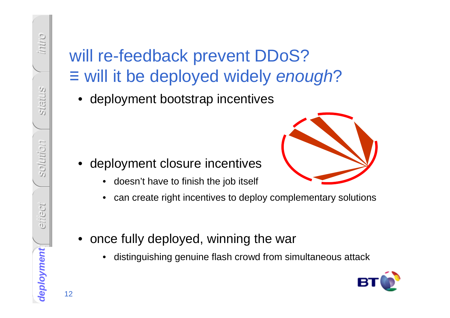## Will re-feedback prevent DDoS?<br>
<br>  $\equiv$  will it be deployed widely enotic<br>
• deployment bootstrap incentives<br>
• deployment closure incentives<br>
• deployment closure incentives<br>
• deployment closure incentives<br>
• can create r ≡ will it be deployed widely enough ?

• deployment bootstrap incentives

- • deployment closure incentives
	- •doesn't have to finish the job itself
	- •can create right incentives to deploy complementary solutions
- • once fully deployed, winning the war
	- •distinguishing genuine flash crowd from simultaneous attack



o.hui

intro

congestion charging status

reginity os

solution

ancci

**deployment**

effect

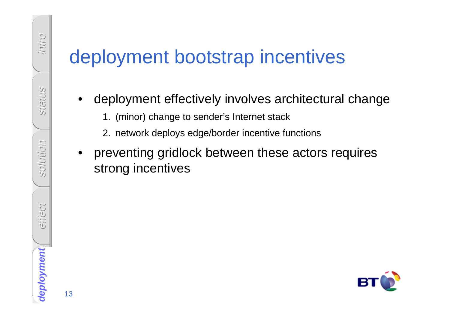- -
	-
- **Example 12 deployment bootstrap incentives**<br>
 deployment effectively involves architectural change<br>
1. (minor) change to sender's Internet stack<br>
2. network deploys edge/border incentive functions<br>
 preventing gridlock



o.hui

intro

congestion charging status

reginity os

solution

ancci

**deployment**

effiect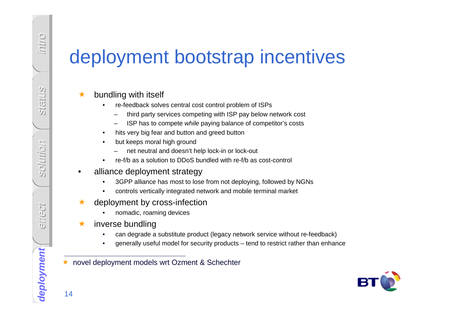# **deployment bootstrap incentives**<br> **A** bundling with itself<br> **Considers the crediback solves central cost control problem of ISPs**<br> **Considers the crediback solves central cost control problem of ISPs**<br> **Considers incense**

## ★ bundling with itself

- • re-feedback solves central cost control problem of ISPs
	- third party services competing with ISP pay below network cost
	- ISP has to compete while paying balance of competitor's costs
- •hits very big fear and button and greed button
- • but keeps moral high ground
	- net neutral and doesn't help lock-in or lock-out
- •re-f/b as a solution to DDoS bundled with re-f/b as cost-control
- • alliance deployment strategy
	- 3GPP alliance has most to lose from not deploying, followed by NGNs•
	- •controls vertically integrated network and mobile terminal market
- ★ deployment by cross-infection
	- •nomadic, roaming devices
- $\bigstar$  inverse bundling
	- •can degrade a substitute product (legacy network service without re-feedback)
	- •generally useful model for security products – tend to restrict rather than enhance

★ novel deployment models wrt Ozment & Schechter



o.hui

intro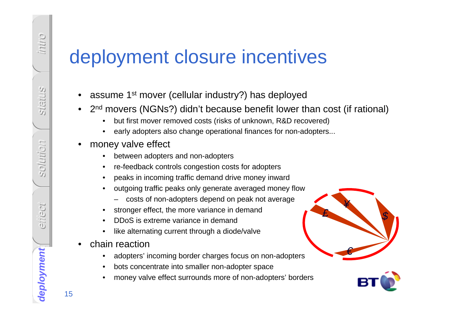- 
- -
	-
- -
	-
	- peaks in incoming traffic demand drive money inward
	- outgoing traffic peaks only generate averaged money flow•
		- costs of non-adopters depend on peak not average
	- •stronger effect, the more variance in demand
	- •DDoS is extreme variance in demand
	- like alternating current through a diode/valve•
- • chain reaction
	- adopters' incoming border charges focus on non-adopters •
	- $\bullet$ bots concentrate into smaller non-adopter space
	- money valve effect surrounds more of non-adopters' borders•



o.hui

intro

congestion charging status

reginity os

solution

einect

etilect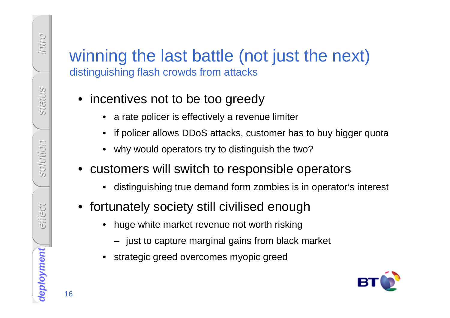# <table>\n<tbody>\n<tr>\n<th>winning the last battle (not just the next)</th>\n</tr>\n<tr>\n<td>distinguishing flash crows from attacks</td>\n</tr>\n<tr>\n<td>• incentives not to be too greedy</td>\n</tr>\n<tr>\n<td>• rate policy is effectively a revenue limiter</td>\n</tr>\n<tr>\n<td>• if policy allows DDoS attacks, customer has to buy bigger quota</td>\n</tr>\n<tr>\n<td>• why would operators try to distinguish the two?</td>\n</tr>\n<tr>\n<td>• customers will switch to responsible operators</td>\n</tr>\n<tr>\n<td>• distinguishing true demand form combines is in operators intersect</td>\n</tr>\n<tr>\n<td>• fortunately society still civilised enough</td>\n</tr>\n<tr>\n<td>• huge white market revenue not

- 
- 
- 
- -
- - -
	-



o.hui

intro

congestion charging status

reginity os

solution

einect

effect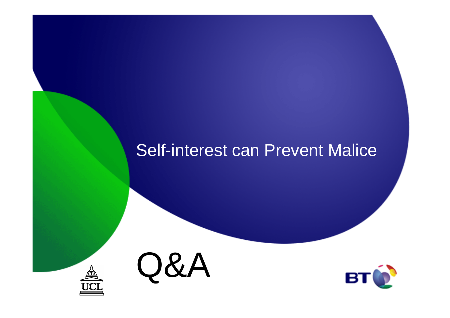## Self-interest can Prevent Malice